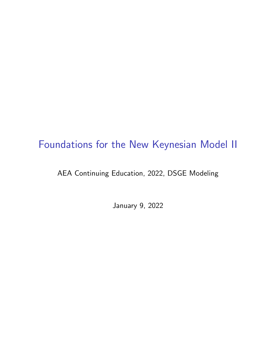# Foundations for the New Keynesian Model II

#### AEA Continuing Education, 2022, DSGE Modeling

January 9, 2022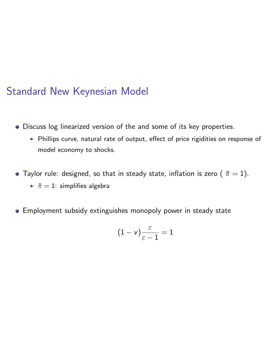#### Standard New Keynesian Model

- Discuss log linearized version of the and some of its key properties.
	- ▶ Phillips curve, natural rate of output, effect of price rigidities on response of model economy to shocks.
- Taylor rule: designed, so that in steady state, inflation is zero  $(\bar{\pi}=1)$ .
	- $\bar{\pi} = 1$ : simplifies algebra
- **•** Employment subsidy extinguishes monopoly power in steady state

$$
(1-v)\frac{\varepsilon}{\varepsilon-1}=1
$$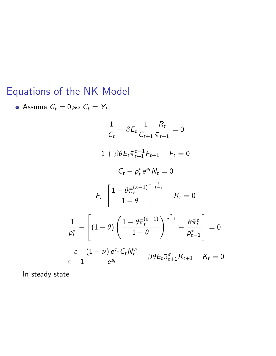# Equations of the NK Model

• Assume 
$$
G_t = 0
$$
, so  $C_t = Y_t$ .  
\n
$$
\frac{1}{C_t} - \beta E_t \frac{1}{C_{t+1}} \frac{R_t}{\bar{\pi}_{t+1}} = 0
$$
\n
$$
1 + \beta \theta E_t \bar{\pi}_{t+1}^{\varepsilon - 1} F_{t+1} - F_t = 0
$$
\n
$$
C_t - p_t^* e^{a_t} N_t = 0
$$
\n
$$
F_t \left[ \frac{1 - \theta \bar{\pi}_t^{(\varepsilon - 1)}}{1 - \theta} \right]_{t=\varepsilon}^{\frac{1}{1-\varepsilon}} - K_t = 0
$$
\n
$$
\frac{1}{p_t^*} - \left[ (1 - \theta) \left( \frac{1 - \theta \bar{\pi}_t^{(\varepsilon - 1)}}{1 - \theta} \right)^{\frac{\varepsilon}{\varepsilon - 1}} + \frac{\theta \bar{\pi}_t^{\varepsilon}}{p_{t-1}^*} \right] = 0
$$
\n
$$
\frac{\varepsilon}{\varepsilon - 1} \frac{(1 - \nu) e^{\tau_t} C_t N_t^{\varphi}}{e^{a_t}} + \beta \theta E_t \bar{\pi}_{t+1}^{\varepsilon} K_{t+1} - K_t = 0
$$

In steady state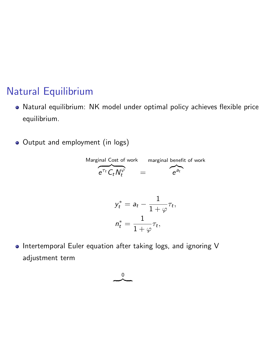### Natural Equilibrium

- Natural equilibrium: NK model under optimal policy achieves flexible price equilibrium.
- Output and employment (in logs)

Marginal Cost of work marginal benefit of work  
\n
$$
e^{\tau_t} C_t N_t^{\varphi} = e^{\partial_t}
$$

$$
y_t^* = a_t - \frac{1}{1+\varphi}\tau_t,
$$
  

$$
n_t^* = \frac{1}{1+\varphi}\tau_t,
$$

. Intertemporal Euler equation after taking logs, and ignoring V adjustment term

> 0  $\overline{\phantom{a}}$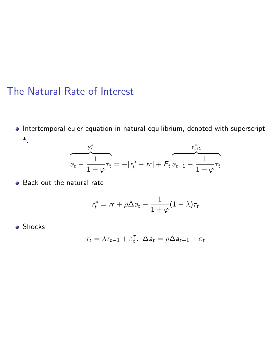### The Natural Rate of Interest

 $\bullet$  Intertemporal euler equation in natural equilibrium, denoted with superscript \*.

$$
a_{t} - \frac{1}{1+\varphi}\tau_{t} = -[r_{t}^{*} - rr] + E_{t} a_{t+1} - \frac{1}{1+\varphi}\tau_{t}
$$

**•** Back out the natural rate

$$
r_t^* = rr + \rho \Delta a_t + \frac{1}{1+\varphi}(1-\lambda)\tau_t
$$

**o** Shocks

$$
\tau_t = \lambda \tau_{t-1} + \varepsilon_t^{\tau}, \ \Delta a_t = \rho \Delta a_{t-1} + \varepsilon_t
$$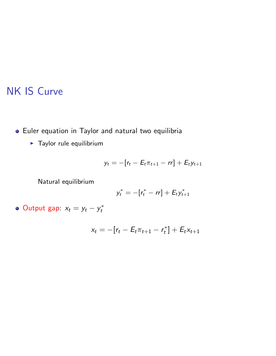# NK IS Curve

- Euler equation in Taylor and natural two equilibria
	- $\blacktriangleright$  Taylor rule equilibrium

$$
y_t = -[r_t - E_t \pi_{t+1} - rr] + E_t y_{t+1}
$$

Natural equilibrium

$$
y_t^* = -[r_t^* - rr] + E_t y_{t+1}^*
$$

Output gap:  $x_t = y_t - y_t^*$ 

$$
x_t = -[r_t - E_t \pi_{t+1} - r_t^*] + E_t x_{t+1}
$$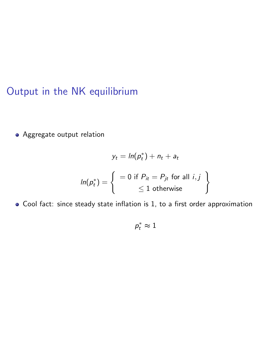# Output in the NK equilibrium

Aggregate output relation

$$
y_t = \ln(p_t^*) + n_t + a_t
$$

$$
\ln(p_t^*) = \begin{cases} = 0 \text{ if } P_{it} = P_{jt} \text{ for all } i, j \\ \leq 1 \text{ otherwise} \end{cases}
$$

Cool fact: since steady state inflation is 1, to a first order approximation

$$
\rho_t^* \approx 1
$$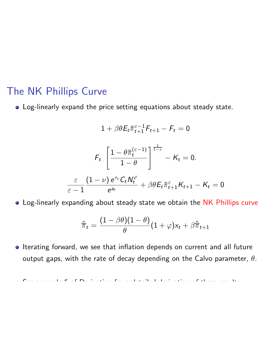### The NK Phillips Curve

Log-linearly expand the price setting equations about steady state.

$$
1 + \beta \theta E_t \overline{\pi}_{t+1}^{\varepsilon-1} F_{t+1} - F_t = 0
$$
  

$$
F_t \left[ \frac{1 - \theta \overline{\pi}_t^{(\varepsilon-1)}}{1 - \theta} \right]^{\frac{1}{1 - \varepsilon}} - K_t = 0.
$$
  

$$
\frac{\varepsilon}{\varepsilon - 1} \frac{(1 - \nu) e^{\tau_t} C_t N_t^{\varphi}}{e^{a_t}} + \beta \theta E_t \overline{\pi}_{t+1}^{\varepsilon} K_{t+1} - K_t = 0
$$

Log-linearly expanding about steady state we obtain the NK Phillips curve

$$
\hat{\overline{\pi}}_t = \frac{(1-\beta \theta)(1-\theta)}{\theta}(1+\varphi) \mathsf{x}_t + \beta \hat{\overline{\pi}}_{t+1}
$$

• Iterating forward, we see that inflation depends on current and all future output gaps, with the rate of decay depending on the Calvo parameter,  $\theta$ .

See example 5 of Derivation for a detailed derivation of these results.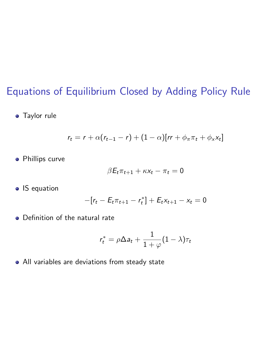## Equations of Equilibrium Closed by Adding Policy Rule

**•** Taylor rule

$$
r_t = r + \alpha(r_{t-1} - r) + (1 - \alpha)[rr + \phi_\pi \pi_t + \phi_x x_t]
$$

**•** Phillips curve

$$
\beta E_t \pi_{t+1} + \kappa x_t - \pi_t = 0
$$

**o** IS equation

$$
-[r_t - E_t \pi_{t+1} - r_t^*] + E_t x_{t+1} - x_t = 0
$$

• Definition of the natural rate

$$
r_t^* = \rho \Delta a_t + \frac{1}{1+\varphi}(1-\lambda)\tau_t
$$

All variables are deviations from steady state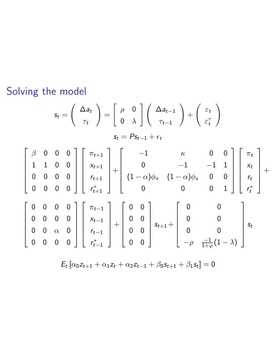Solving the model

$$
s_{t} = \begin{pmatrix} \Delta a_{t} \\ \tau_{t} \end{pmatrix} = \begin{bmatrix} \rho & 0 \\ 0 & \lambda \end{bmatrix} \begin{pmatrix} \Delta a_{t-1} \\ \tau_{t-1} \end{pmatrix} + \begin{pmatrix} \varepsilon_{t} \\ \varepsilon_{t}^{T} \end{pmatrix}
$$

$$
s_{t} = Ps_{t-1} + \varepsilon_{t}
$$

$$
\begin{bmatrix} \beta & 0 & 0 & 0 \\ 1 & 1 & 0 & 0 \\ 0 & 0 & 0 & 0 \\ 0 & 0 & 0 & 0 \end{bmatrix} \begin{bmatrix} \pi_{t+1} \\ \kappa_{t+1} \\ \kappa_{t+1} \\ \kappa_{t+1} \end{bmatrix} + \begin{bmatrix} -1 & \kappa & 0 & 0 \\ 0 & -1 & -1 & 1 \\ 0 & 0 & -1 & 1 \\ 0 & 0 & 0 & 0 \\ 0 & 0 & 0 & 1 \end{bmatrix} \begin{bmatrix} \pi_{t} \\ \kappa_{t} \\ \kappa_{t} \\ \kappa_{t} \end{bmatrix} + \begin{bmatrix} \pi_{t-1} \\ \kappa_{t} \\ \kappa_{t-1} \\ \kappa_{t-1} \\ \kappa_{t-1} \end{bmatrix} + \begin{bmatrix} 0 & 0 \\ 0 & 0 \\ 0 & 0 \\ 0 & 0 \end{bmatrix} s_{t+1} + \begin{bmatrix} 0 & 0 \\ 0 & 0 \\ 0 & 0 \\ -\rho & \frac{-1}{1+\varphi}(1-\lambda) \end{bmatrix} s_{t}
$$

 $E_t [\alpha_0 z_{t+1} + \alpha_1 z_t + \alpha_2 z_{t-1} + \beta_0 s_{t+1} + \beta_1 s_t] = 0$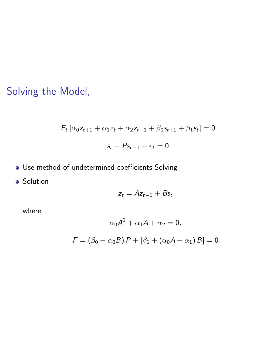Solving the Model,

$$
E_t [\alpha_0 z_{t+1} + \alpha_1 z_t + \alpha_2 z_{t-1} + \beta_0 s_{t+1} + \beta_1 s_t] = 0
$$
  

$$
s_t - Ps_{t-1} - \epsilon_t = 0
$$

- . Use method of undetermined coefficients Solving
- **•** Solution

$$
z_t = Az_{t-1} + Bs_t
$$

where

$$
\alpha_0 A^2 + \alpha_1 A + \alpha_2 = 0,
$$
  

$$
F = (\beta_0 + \alpha_0 B) P + [\beta_1 + (\alpha_0 A + \alpha_1) B] = 0
$$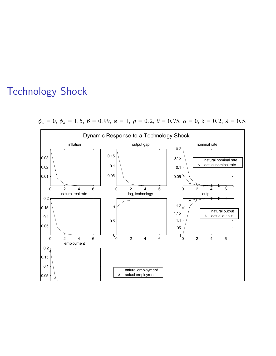### Technology Shock



 $\phi_x = 0, \ \phi_\pi = 1.5, \ \beta = 0.99, \ \varphi = 1, \ \rho = 0.2, \ \theta = 0.75, \ \alpha = 0, \ \delta = 0.2, \ \lambda = 0.5.$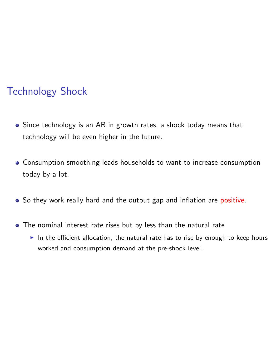# Technology Shock

- Since technology is an AR in growth rates, a shock today means that technology will be even higher in the future.
- Consumption smoothing leads households to want to increase consumption today by a lot.
- So they work really hard and the output gap and inflation are positive.
- The nominal interest rate rises but by less than the natural rate
	- In the efficient allocation, the natural rate has to rise by enough to keep hours worked and consumption demand at the pre-shock level.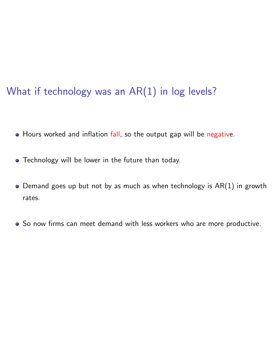# What if technology was an AR(1) in log levels?

- Hours worked and inflation fall, so the output gap will be negative.
- Technology will be lower in the future than today.
- $\bullet$  Demand goes up but not by as much as when technology is AR(1) in growth rates.
- So now firms can meet demand with less workers who are more productive.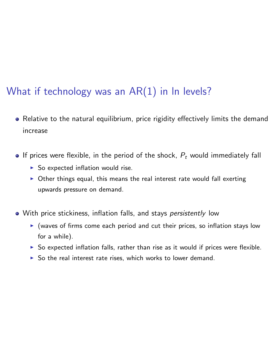# What if technology was an AR(1) in In levels?

- Relative to the natural equilibrium, price rigidity effectively limits the demand increase
- **•** If prices were flexible, in the period of the shock,  $P_t$  would immediately fall
	- $\triangleright$  So expected inflation would rise.
	- $\triangleright$  Other things equal, this means the real interest rate would fall exerting upwards pressure on demand.
- With price stickiness, inflation falls, and stays *persistently* low
	- $\blacktriangleright$  (waves of firms come each period and cut their prices, so inflation stays low for a while).
	- $\triangleright$  So expected inflation falls, rather than rise as it would if prices were flexible.
	- $\triangleright$  So the real interest rate rises, which works to lower demand.